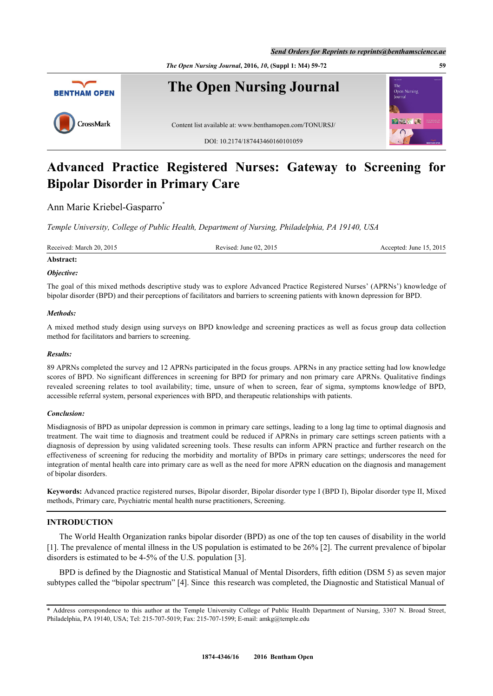*The Open Nursing Journal***, 2016,** *10***, (Suppl 1: M4) 59-72 59**



# **Advanced Practice Registered Nurses: Gateway to Screening for Bipolar Disorder in Primary Care**

Ann Marie Kriebel-Gasparro<sup>[\\*](#page-0-0)</sup>

*Temple University, College of Public Health, Department of Nursing, Philadelphia, PA 19140, USA*

| Received: March 20, 2015 | Revised: June 02, 2015 | Accepted: June 15, 2015 |  |
|--------------------------|------------------------|-------------------------|--|
| Abstract:                |                        |                         |  |

# *Objective:*

The goal of this mixed methods descriptive study was to explore Advanced Practice Registered Nurses' (APRNs') knowledge of bipolar disorder (BPD) and their perceptions of facilitators and barriers to screening patients with known depression for BPD.

# *Methods:*

A mixed method study design using surveys on BPD knowledge and screening practices as well as focus group data collection method for facilitators and barriers to screening.

# *Results:*

89 APRNs completed the survey and 12 APRNs participated in the focus groups. APRNs in any practice setting had low knowledge scores of BPD. No significant differences in screening for BPD for primary and non primary care APRNs. Qualitative findings revealed screening relates to tool availability; time, unsure of when to screen, fear of sigma, symptoms knowledge of BPD, accessible referral system, personal experiences with BPD, and therapeutic relationships with patients.

# *Conclusion:*

Misdiagnosis of BPD as unipolar depression is common in primary care settings, leading to a long lag time to optimal diagnosis and treatment. The wait time to diagnosis and treatment could be reduced if APRNs in primary care settings screen patients with a diagnosis of depression by using validated screening tools. These results can inform APRN practice and further research on the effectiveness of screening for reducing the morbidity and mortality of BPDs in primary care settings; underscores the need for integration of mental health care into primary care as well as the need for more APRN education on the diagnosis and management of bipolar disorders.

**Keywords:** Advanced practice registered nurses, Bipolar disorder, Bipolar disorder type I (BPD I), Bipolar disorder type II, Mixed methods, Primary care, Psychiatric mental health nurse practitioners, Screening.

# **INTRODUCTION**

The World Health Organization ranks bipolar disorder (BPD) as one of the top ten causes of disability in the world [\[1](#page-11-0)]. The prevalence of mental illness in the US population is estimated to be 26% [\[2](#page-11-1)]. The current prevalence of bipolar disorders is estimated to be 4-5% of the U.S. population [[3\]](#page-11-2).

BPD is defined by the Diagnostic and Statistical Manual of Mental Disorders, fifth edition (DSM 5) as seven major subtypes called the "bipolar spectrum" [\[4](#page-11-3)]. Since this research was completed, the Diagnostic and Statistical Manual of

<span id="page-0-0"></span><sup>\*</sup> Address correspondence to this author at the Temple University College of Public Health Department of Nursing, 3307 N. Broad Street, Philadelphia, PA 19140, USA; Tel: 215-707-5019; Fax: 215-707-1599; E-mail: [amkg@temple.edu](mailto:amkg@temple.edu)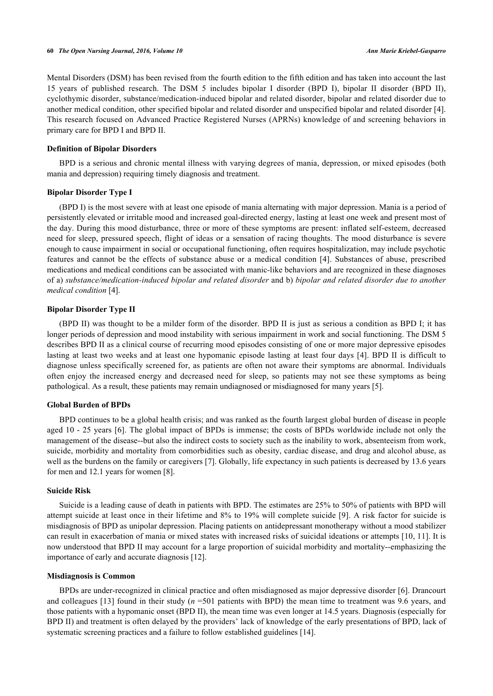Mental Disorders (DSM) has been revised from the fourth edition to the fifth edition and has taken into account the last 15 years of published research. The DSM 5 includes bipolar I disorder (BPD I), bipolar II disorder (BPD II), cyclothymic disorder, substance/medication-induced bipolar and related disorder, bipolar and related disorder due to another medical condition, other specified bipolar and related disorder and unspecified bipolar and related disorder [[4\]](#page-11-3). This research focused on Advanced Practice Registered Nurses (APRNs) knowledge of and screening behaviors in primary care for BPD I and BPD II.

# **Definition of Bipolar Disorders**

BPD is a serious and chronic mental illness with varying degrees of mania, depression, or mixed episodes (both mania and depression) requiring timely diagnosis and treatment.

# **Bipolar Disorder Type I**

(BPD I) is the most severe with at least one episode of mania alternating with major depression. Mania is a period of persistently elevated or irritable mood and increased goal-directed energy, lasting at least one week and present most of the day. During this mood disturbance, three or more of these symptoms are present: inflated self-esteem, decreased need for sleep, pressured speech, flight of ideas or a sensation of racing thoughts. The mood disturbance is severe enough to cause impairment in social or occupational functioning, often requires hospitalization, may include psychotic features and cannot be the effects of substance abuse or a medical condition [[4\]](#page-11-3). Substances of abuse, prescribed medications and medical conditions can be associated with manic-like behaviors and are recognized in these diagnoses of a) *substance/medication-induced bipolar and related disorder* and b) *bipolar and related disorder due to another medical condition* [\[4](#page-11-3)].

# **Bipolar Disorder Type II**

(BPD II) was thought to be a milder form of the disorder. BPD II is just as serious a condition as BPD I; it has longer periods of depression and mood instability with serious impairment in work and social functioning. The DSM 5 describes BPD II as a clinical course of recurring mood episodes consisting of one or more major depressive episodes lasting at least two weeks and at least one hypomanic episode lasting at least four days [[4\]](#page-11-3). BPD II is difficult to diagnose unless specifically screened for, as patients are often not aware their symptoms are abnormal. Individuals often enjoy the increased energy and decreased need for sleep, so patients may not see these symptoms as being pathological. As a result, these patients may remain undiagnosed or misdiagnosed for many years [[5\]](#page-11-4).

#### **Global Burden of BPDs**

BPD continues to be a global health crisis; and was ranked as the fourth largest global burden of disease in people aged 10 - 25 years [[6](#page-11-5)]. The global impact of BPDs is immense; the costs of BPDs worldwide include not only the management of the disease--but also the indirect costs to society such as the inability to work, absenteeism from work, suicide, morbidity and mortality from comorbidities such as obesity, cardiac disease, and drug and alcohol abuse, as well as the burdens on the family or caregivers [[7\]](#page-11-6). Globally, life expectancy in such patients is decreased by 13.6 years for men and 12.1 years for women [[8\]](#page-11-7).

#### **Suicide Risk**

Suicide is a leading cause of death in patients with BPD. The estimates are 25% to 50% of patients with BPD will attempt suicide at least once in their lifetime and 8% to 19% will complete suicide [[9\]](#page-11-8). A risk factor for suicide is misdiagnosis of BPD as unipolar depression. Placing patients on antidepressant monotherapy without a mood stabilizer can result in exacerbation of mania or mixed states with increased risks of suicidal ideations or attempts [[10,](#page-11-9) [11](#page-11-10)]. It is now understood that BPD II may account for a large proportion of suicidal morbidity and mortality--emphasizing the importance of early and accurate diagnosis [[12\]](#page-11-11).

#### **Misdiagnosis is Common**

BPDs are under-recognized in clinical practice and often misdiagnosed as major depressive disorder [[6](#page-11-5)]. Drancourt and colleagues [[13\]](#page-11-12) found in their study (*n* =501 patients with BPD) the mean time to treatment was 9.6 years, and those patients with a hypomanic onset (BPD II), the mean time was even longer at 14.5 years. Diagnosis (especially for BPD II) and treatment is often delayed by the providers' lack of knowledge of the early presentations of BPD, lack of systematic screening practices and a failure to follow established guidelines [[14\]](#page-11-13).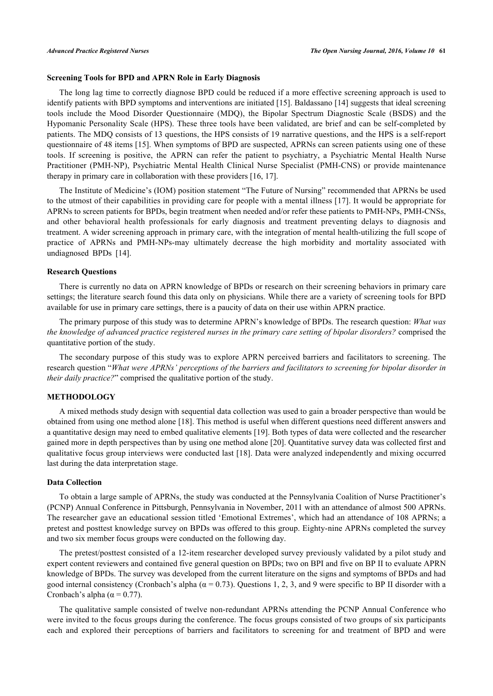# **Screening Tools for BPD and APRN Role in Early Diagnosis**

The long lag time to correctly diagnose BPD could be reduced if a more effective screening approach is used to identify patients with BPD symptoms and interventions are initiated [\[15](#page-11-14)]. Baldassano [\[14\]](#page-11-13) suggests that ideal screening tools include the Mood Disorder Questionnaire (MDQ), the Bipolar Spectrum Diagnostic Scale (BSDS) and the Hypomanic Personality Scale (HPS). These three tools have been validated, are brief and can be self-completed by patients. The MDQ consists of 13 questions, the HPS consists of 19 narrative questions, and the HPS is a self-report questionnaire of 48 items [[15\]](#page-11-14). When symptoms of BPD are suspected, APRNs can screen patients using one of these tools. If screening is positive, the APRN can refer the patient to psychiatry, a Psychiatric Mental Health Nurse Practitioner (PMH-NP), Psychiatric Mental Health Clinical Nurse Specialist (PMH-CNS) or provide maintenance therapy in primary care in collaboration with these providers [\[16](#page-12-0), [17](#page-12-1)].

The Institute of Medicine's (IOM) position statement "The Future of Nursing" recommended that APRNs be used to the utmost of their capabilities in providing care for people with a mental illness [[17\]](#page-12-1). It would be appropriate for APRNs to screen patients for BPDs, begin treatment when needed and/or refer these patients to PMH-NPs, PMH-CNSs, and other behavioral health professionals for early diagnosis and treatment preventing delays to diagnosis and treatment. A wider screening approach in primary care, with the integration of mental health-utilizing the full scope of practice of APRNs and PMH-NPs-may ultimately decrease the high morbidity and mortality associated with undiagnosed BPDs[[14\]](#page-11-13).

### **Research Questions**

There is currently no data on APRN knowledge of BPDs or research on their screening behaviors in primary care settings; the literature search found this data only on physicians. While there are a variety of screening tools for BPD available for use in primary care settings, there is a paucity of data on their use within APRN practice.

The primary purpose of this study was to determine APRN's knowledge of BPDs. The research question: *What was the knowledge of advanced practice registered nurses in the primary care setting of bipolar disorders?* comprised the quantitative portion of the study.

The secondary purpose of this study was to explore APRN perceived barriers and facilitators to screening. The research question "*What were APRNs' perceptions of the barriers and facilitators to screening for bipolar disorder in their daily practice?*" comprised the qualitative portion of the study.

# **METHODOLOGY**

A mixed methods study design with sequential data collection was used to gain a broader perspective than would be obtained from using one method alone [[18\]](#page-12-2). This method is useful when different questions need different answers and a quantitative design may need to embed qualitative elements [[19](#page-12-3)]. Both types of data were collected and the researcher gained more in depth perspectives than by using one method alone [[20\]](#page-12-4). Quantitative survey data was collected first and qualitative focus group interviews were conducted last [[18](#page-12-2)]. Data were analyzed independently and mixing occurred last during the data interpretation stage.

# **Data Collection**

To obtain a large sample of APRNs, the study was conducted at the Pennsylvania Coalition of Nurse Practitioner's (PCNP) Annual Conference in Pittsburgh, Pennsylvania in November, 2011 with an attendance of almost 500 APRNs. The researcher gave an educational session titled 'Emotional Extremes', which had an attendance of 108 APRNs; a pretest and posttest knowledge survey on BPDs was offered to this group. Eighty-nine APRNs completed the survey and two six member focus groups were conducted on the following day.

The pretest/posttest consisted of a 12-item researcher developed survey previously validated by a pilot study and expert content reviewers and contained five general question on BPDs; two on BPI and five on BP II to evaluate APRN knowledge of BPDs. The survey was developed from the current literature on the signs and symptoms of BPDs and had good internal consistency (Cronbach's alpha ( $\alpha$  = 0.73). Questions 1, 2, 3, and 9 were specific to BP II disorder with a Cronbach's alpha ( $\alpha$  = 0.77).

The qualitative sample consisted of twelve non-redundant APRNs attending the PCNP Annual Conference who were invited to the focus groups during the conference. The focus groups consisted of two groups of six participants each and explored their perceptions of barriers and facilitators to screening for and treatment of BPD and were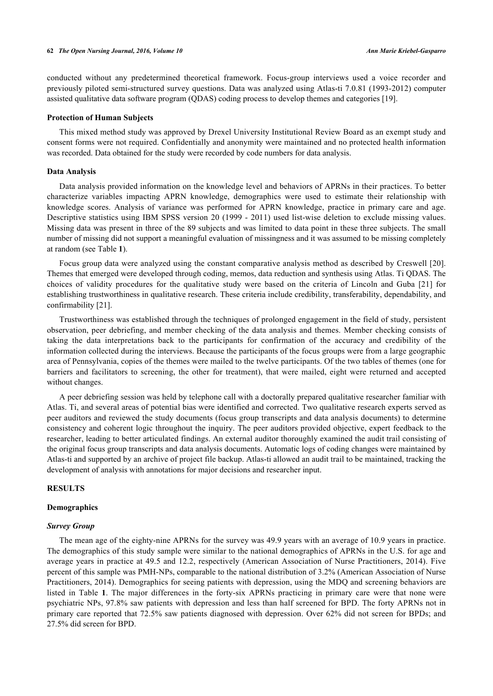conducted without any predetermined theoretical framework. Focus-group interviews used a voice recorder and previously piloted semi-structured survey questions. Data was analyzed using Atlas-ti 7.0.81 (1993-2012) computer assisted qualitative data software program (QDAS) coding process to develop themes and categories [[19\]](#page-12-3).

### **Protection of Human Subjects**

This mixed method study was approved by Drexel University Institutional Review Board as an exempt study and consent forms were not required. Confidentially and anonymity were maintained and no protected health information was recorded. Data obtained for the study were recorded by code numbers for data analysis.

# **Data Analysis**

Data analysis provided information on the knowledge level and behaviors of APRNs in their practices. To better characterize variables impacting APRN knowledge, demographics were used to estimate their relationship with knowledge scores. Analysis of variance was performed for APRN knowledge, practice in primary care and age. Descriptive statistics using IBM SPSS version 20 (1999 - 2011) used list-wise deletion to exclude missing values. Missing data was present in three of the 89 subjects and was limited to data point in these three subjects. The small number of missing did not support a meaningful evaluation of missingness and it was assumed to be missing completely at random (see Table **[1](#page-4-0)**).

Focus group data were analyzed using the constant comparative analysis method as described by Creswell [\[20\]](#page-12-4). Themes that emerged were developed through coding, memos, data reduction and synthesis using Atlas. Ti QDAS. The choices of validity procedures for the qualitative study were based on the criteria of Lincoln and Guba[[21](#page-12-5)] for establishing trustworthiness in qualitative research. These criteria include credibility, transferability, dependability, and confirmability [[21\]](#page-12-5).

Trustworthiness was established through the techniques of prolonged engagement in the field of study, persistent observation, peer debriefing, and member checking of the data analysis and themes. Member checking consists of taking the data interpretations back to the participants for confirmation of the accuracy and credibility of the information collected during the interviews. Because the participants of the focus groups were from a large geographic area of Pennsylvania, copies of the themes were mailed to the twelve participants. Of the two tables of themes (one for barriers and facilitators to screening, the other for treatment), that were mailed, eight were returned and accepted without changes.

A peer debriefing session was held by telephone call with a doctorally prepared qualitative researcher familiar with Atlas. Ti, and several areas of potential bias were identified and corrected. Two qualitative research experts served as peer auditors and reviewed the study documents (focus group transcripts and data analysis documents) to determine consistency and coherent logic throughout the inquiry. The peer auditors provided objective, expert feedback to the researcher, leading to better articulated findings. An external auditor thoroughly examined the audit trail consisting of the original focus group transcripts and data analysis documents. Automatic logs of coding changes were maintained by Atlas-ti and supported by an archive of project file backup. Atlas-ti allowed an audit trail to be maintained, tracking the development of analysis with annotations for major decisions and researcher input.

#### **RESULTS**

#### **Demographics**

#### *Survey Group*

The mean age of the eighty-nine APRNs for the survey was 49.9 years with an average of 10.9 years in practice. The demographics of this study sample were similar to the national demographics of APRNs in the U.S. for age and average years in practice at 49.5 and 12.2, respectively (American Association of Nurse Practitioners, 2014). Five percent of this sample was PMH-NPs, comparable to the national distribution of 3.2% (American Association of Nurse Practitioners, 2014). Demographics for seeing patients with depression, using the MDQ and screening behaviors are listed in Table **1**. The major differences in the forty-six APRNs practicing in primary care were that none were psychiatric NPs, 97.8% saw patients with depression and less than half screened for BPD. The forty APRNs not in primary care reported that 72.5% saw patients diagnosed with depression. Over 62% did not screen for BPDs; and 27.5% did screen for BPD.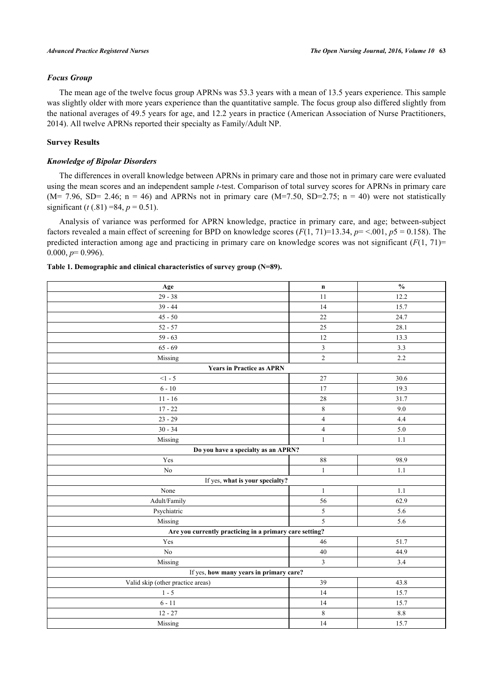# *Focus Group*

The mean age of the twelve focus group APRNs was 53.3 years with a mean of 13.5 years experience. This sample was slightly older with more years experience than the quantitative sample. The focus group also differed slightly from the national averages of 49.5 years for age, and 12.2 years in practice (American Association of Nurse Practitioners, 2014). All twelve APRNs reported their specialty as Family/Adult NP.

# **Survey Results**

# *Knowledge of Bipolar Disorders*

The differences in overall knowledge between APRNs in primary care and those not in primary care were evaluated using the mean scores and an independent sample *t*-test. Comparison of total survey scores for APRNs in primary care  $(M= 7.96, SD= 2.46; n = 46)$  and APRNs not in primary care  $(M=7.50, SD=2.75; n = 40)$  were not statistically significant  $(t (.81) = 84, p = 0.51)$ .

Analysis of variance was performed for APRN knowledge, practice in primary care, and age; between-subject factors revealed a main effect of screening for BPD on knowledge scores  $(F(1, 71)=13.34, p = <.001, p = 0.158)$ . The predicted interaction among age and practicing in primary care on knowledge scores was not significant  $(F(1, 71)$ =  $0.000, p=0.996$ .

# <span id="page-4-0"></span>**Table 1. Demographic and clinical characteristics of survey group (N=89).**

| Age                                                     | $\mathbf n$             | $\frac{0}{0}$ |  |  |
|---------------------------------------------------------|-------------------------|---------------|--|--|
| $29 - 38$                                               | 11                      | 12.2          |  |  |
| $39 - 44$                                               | 14                      | 15.7          |  |  |
| $45 - 50$                                               | 22                      | 24.7          |  |  |
| $52 - 57$                                               | 25                      | 28.1          |  |  |
| $59 - 63$                                               | 12                      | 13.3          |  |  |
| $65 - 69$                                               | $\overline{\mathbf{3}}$ | 3.3           |  |  |
| Missing                                                 | $\overline{2}$          | 2.2           |  |  |
| <b>Years in Practice as APRN</b>                        |                         |               |  |  |
| $<1 - 5$                                                | $27\,$                  | 30.6          |  |  |
| $6 - 10$                                                | 17                      | 19.3          |  |  |
| $11 - 16$                                               | $28\,$                  | 31.7          |  |  |
| $17 - 22$                                               | $\,8\,$                 | 9.0           |  |  |
| $23 - 29$                                               | $\overline{\mathbf{4}}$ | 4.4           |  |  |
| $30 - 34$                                               | $\overline{4}$          | 5.0           |  |  |
| Missing                                                 | $\mathbf{1}$            | 1.1           |  |  |
| Do you have a specialty as an APRN?                     |                         |               |  |  |
| Yes                                                     | $\bf 88$                | 98.9          |  |  |
| $\rm No$                                                | $\mathbf{1}$            | $1.1\,$       |  |  |
| If yes, what is your specialty?                         |                         |               |  |  |
| None                                                    | $\mathbf{1}$            | 1.1           |  |  |
| Adult/Family                                            | 56                      | 62.9          |  |  |
| Psychiatric                                             | $\sqrt{5}$              | 5.6           |  |  |
| Missing                                                 | $\overline{5}$          | 5.6           |  |  |
| Are you currently practicing in a primary care setting? |                         |               |  |  |
| Yes                                                     | 46                      | 51.7          |  |  |
| $\rm No$                                                | $40\,$                  | 44.9          |  |  |
| Missing                                                 | $\mathfrak{Z}$          | 3.4           |  |  |
| If yes, how many years in primary care?                 |                         |               |  |  |
| Valid skip (other practice areas)                       | 39                      | 43.8          |  |  |
| $1 - 5$                                                 | 14                      | 15.7          |  |  |
| $6 - 11$                                                | 14                      | 15.7          |  |  |
| $12 - 27$                                               | $\,8\,$                 | 8.8           |  |  |
| Missing                                                 | 14                      | 15.7          |  |  |
|                                                         |                         |               |  |  |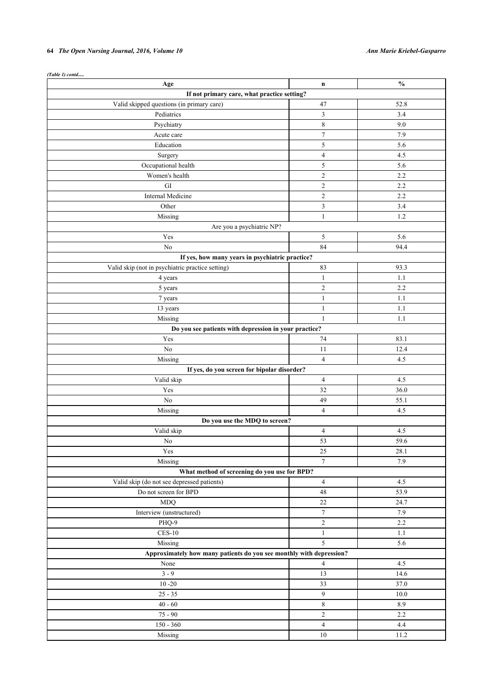# **64** *The Open Nursing Journal, 2016, Volume 10 Ann Marie Kriebel-Gasparro*

*(Table 1) contd.....*

| Age                                                                 | $\mathbf n$    | $\frac{0}{0}$ |  |
|---------------------------------------------------------------------|----------------|---------------|--|
| If not primary care, what practice setting?                         |                |               |  |
| Valid skipped questions (in primary care)                           | 47             | 52.8          |  |
| Pediatrics                                                          | 3              | 3.4           |  |
| Psychiatry                                                          | 8              | 9.0           |  |
| Acute care                                                          | $\tau$         | 7.9           |  |
| Education                                                           | 5              | 5.6           |  |
| Surgery                                                             | $\overline{4}$ | 4.5           |  |
| Occupational health                                                 | 5              | 5.6           |  |
| Women's health                                                      | $\overline{c}$ | 2.2           |  |
| ${\rm GI}$                                                          | $\overline{c}$ | 2.2           |  |
| Internal Medicine                                                   | $\overline{c}$ | 2.2           |  |
| Other                                                               | $\mathfrak{Z}$ | 3.4           |  |
| Missing                                                             | $\mathbf{1}$   | 1.2           |  |
| Are you a psychiatric NP?                                           |                |               |  |
| Yes                                                                 | 5              | 5.6           |  |
| N <sub>o</sub>                                                      | 84             | 94.4          |  |
| If yes, how many years in psychiatric practice?                     |                |               |  |
| Valid skip (not in psychiatric practice setting)                    | 83             | 93.3          |  |
| 4 years                                                             | $\mathbf{1}$   | 1.1           |  |
| 5 years                                                             | $\overline{c}$ | 2.2           |  |
| 7 years                                                             | $\mathbf{1}$   | 1.1           |  |
| 13 years                                                            | $\mathbf{1}$   | 1.1           |  |
| Missing                                                             | $\mathbf{1}$   | 1.1           |  |
| Do you see patients with depression in your practice?               |                |               |  |
| Yes                                                                 | 74             | 83.1          |  |
| $\rm No$                                                            | 11             | 12.4          |  |
| Missing                                                             | $\overline{4}$ | 4.5           |  |
| If yes, do you screen for bipolar disorder?                         |                |               |  |
| Valid skip                                                          | $\overline{4}$ | 4.5           |  |
| Yes                                                                 | 32             | 36.0          |  |
| N <sub>0</sub>                                                      | 49             | 55.1          |  |
| Missing                                                             | $\overline{4}$ | 4.5           |  |
| Do you use the MDQ to screen?                                       |                |               |  |
| Valid skip                                                          | $\overline{4}$ | 4.5           |  |
| $\rm No$                                                            | 53             | 59.6          |  |
| Yes                                                                 | 25             | 28.1          |  |
| Missing                                                             | $\overline{7}$ | 7.9           |  |
| What method of screening do you use for BPD?                        |                |               |  |
| Valid skip (do not see depressed patients)                          | $\overline{4}$ | 4.5           |  |
| Do not screen for BPD                                               | 48             | 53.9          |  |
| <b>MDQ</b>                                                          | $22\,$         | 24.7          |  |
| Interview (unstructured)                                            | $\overline{7}$ | 7.9           |  |
| PHQ-9                                                               | $\overline{c}$ | 2.2           |  |
| $\sf{CES}\text{-}10$                                                | $\mathbf{1}$   | 1.1           |  |
| Missing                                                             | 5              | 5.6           |  |
| Approximately how many patients do you see monthly with depression? |                |               |  |
| None                                                                | $\overline{4}$ | 4.5           |  |
| $3 - 9$                                                             | 13             | 14.6          |  |
| $10 - 20$                                                           | 33             | 37.0          |  |
| $25 - 35$                                                           | $\overline{9}$ | 10.0          |  |
| $40 - 60$                                                           | $\,8\,$        | 8.9           |  |
|                                                                     |                |               |  |
| $75 - 90$                                                           | $\overline{2}$ | 2.2           |  |
| $150 - 360$                                                         | $\overline{4}$ | 4.4           |  |
| Missing                                                             | 10             | 11.2          |  |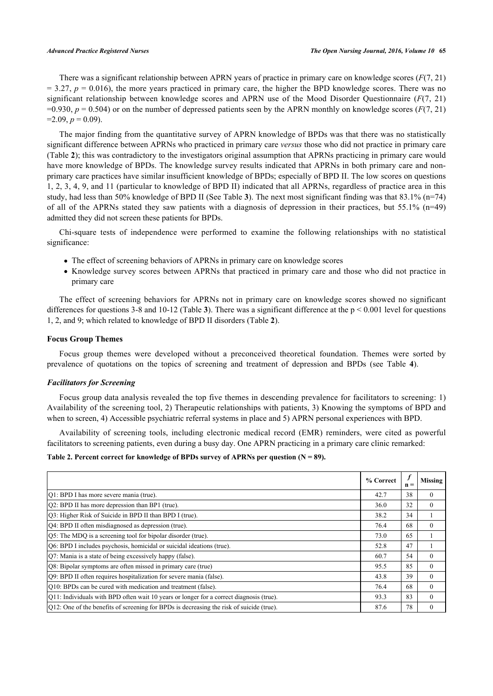There was a significant relationship between APRN years of practice in primary care on knowledge scores (*F*(7, 21)  $= 3.27$ ,  $p = 0.016$ ), the more years practiced in primary care, the higher the BPD knowledge scores. There was no significant relationship between knowledge scores and APRN use of the Mood Disorder Questionnaire (*F*(7, 21)  $=0.930, p = 0.504$ ) or on the number of depressed patients seen by the APRN monthly on knowledge scores ( $F(7, 21)$ )  $=2.09, p=0.09$ ).

The major finding from the quantitative survey of APRN knowledge of BPDs was that there was no statistically significant difference between APRNs who practiced in primary care *versus* those who did not practice in primary care (Table **[2](#page-6-0)**); this was contradictory to the investigators original assumption that APRNs practicing in primary care would have more knowledge of BPDs. The knowledge survey results indicated that APRNs in both primary care and nonprimary care practices have similar insufficient knowledge of BPDs; especially of BPD II. The low scores on questions 1, 2, 3, 4, 9, and 11 (particular to knowledge of BPD II) indicated that all APRNs, regardless of practice area in this study, had less than 50% knowledge of BPD II (See Table **[3](#page-7-0)**). The next most significant finding was that 83.1% (n=74) of all of the APRNs stated they saw patients with a diagnosis of depression in their practices, but 55.1% (n=49) admitted they did not screen these patients for BPDs.

Chi-square tests of independence were performed to examine the following relationships with no statistical significance:

- The effect of screening behaviors of APRNs in primary care on knowledge scores
- Knowledge survey scores between APRNs that practiced in primary care and those who did not practice in primary care

The effect of screening behaviors for APRNs not in primary care on knowledge scores showed no significant differences for questions [3](#page-7-0)-8 and 10-12 (Table 3). There was a significant difference at the  $p < 0.001$  level for questions 1, 2, and 9; which related to knowledge of BPD II disorders (Table **[2](#page-6-0)**).

# **Focus Group Themes**

Focus group themes were developed without a preconceived theoretical foundation. Themes were sorted by prevalence of quotations on the topics of screening and treatment of depression and BPDs (see Table**4**).

#### *Facilitators for Screening*

Focus group data analysis revealed the top five themes in descending prevalence for facilitators to screening: 1) Availability of the screening tool, 2) Therapeutic relationships with patients, 3) Knowing the symptoms of BPD and when to screen, 4) Accessible psychiatric referral systems in place and 5) APRN personal experiences with BPD.

Availability of screening tools, including electronic medical record (EMR) reminders, were cited as powerful facilitators to screening patients, even during a busy day. One APRN practicing in a primary care clinic remarked:

# <span id="page-6-0"></span>Table 2. Percent correct for knowledge of BPDs survey of APRNs per question  $(N = 89)$ .

|                                                                                            | % Correct | $\boldsymbol{f}$<br>$\mathbf{n} =$ | Missing      |
|--------------------------------------------------------------------------------------------|-----------|------------------------------------|--------------|
| [O1: BPD I has more severe mania (true).                                                   | 42.7      | 38                                 | $\Omega$     |
| [Q2: BPD II has more depression than BP1 (true).                                           | 36.0      | 32                                 | $\theta$     |
| [O3: Higher Risk of Suicide in BPD II than BPD I (true).                                   | 38.2      | 34                                 |              |
| [Q4: BPD II often misdiagnosed as depression (true).                                       | 76.4      | 68                                 | $\Omega$     |
| Q5: The MDQ is a screening tool for bipolar disorder (true).                               | 73.0      | 65                                 |              |
| Q6: BPD I includes psychosis, homicidal or suicidal ideations (true).                      | 52.8      | 47                                 |              |
| Q7: Mania is a state of being excessively happy (false).                                   | 60.7      | 54                                 | $\mathbf{0}$ |
| Q8: Bipolar symptoms are often missed in primary care (true)                               | 95.5      | 85                                 | $\Omega$     |
| Q9: BPD II often requires hospitalization for severe mania (false).                        | 43.8      | 39                                 | $\Omega$     |
| [Q10: BPDs can be cured with medication and treatment (false).                             | 76.4      | 68                                 | $\mathbf{0}$ |
| $Q11$ : Individuals with BPD often wait 10 years or longer for a correct diagnosis (true). | 93.3      | 83                                 | $\Omega$     |
| [Q12: One of the benefits of screening for BPDs is decreasing the risk of suicide (true).  | 87.6      | 78                                 | $\Omega$     |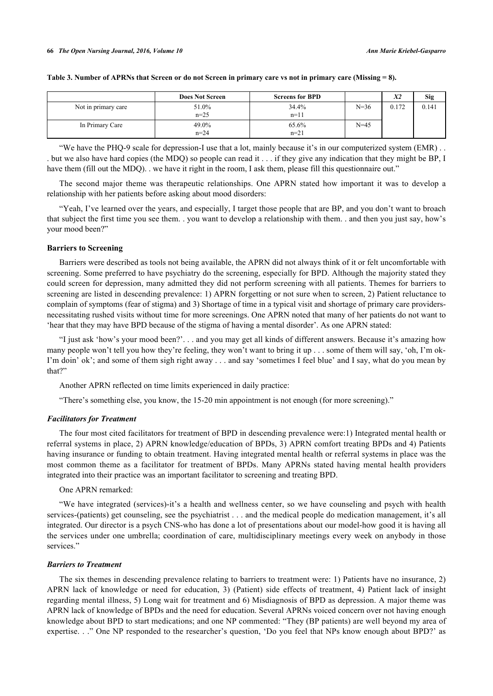|                     | <b>Does Not Screen</b> | <b>Screens for BPD</b> |          | X2    | Sig   |
|---------------------|------------------------|------------------------|----------|-------|-------|
| Not in primary care | 51.0%<br>$n=25$        | 34.4%<br>$n=11$        | $N = 36$ | 0.172 | 0.141 |
| In Primary Care     | 49.0%<br>$n = 24$      | 65.6%<br>$n=21$        | $N = 45$ |       |       |

#### <span id="page-7-0"></span>**Table 3. Number of APRNs that Screen or do not Screen in primary care vs not in primary care (Missing = 8).**

"We have the PHQ-9 scale for depression-I use that a lot, mainly because it's in our computerized system (EMR) . . . but we also have hard copies (the MDQ) so people can read it . . . if they give any indication that they might be BP, I have them (fill out the MDO). . we have it right in the room, I ask them, please fill this questionnaire out."

The second major theme was therapeutic relationships. One APRN stated how important it was to develop a relationship with her patients before asking about mood disorders:

"Yeah, I've learned over the years, and especially, I target those people that are BP, and you don't want to broach that subject the first time you see them. . you want to develop a relationship with them. . and then you just say, how's your mood been?"

#### **Barriers to Screening**

Barriers were described as tools not being available, the APRN did not always think of it or felt uncomfortable with screening. Some preferred to have psychiatry do the screening, especially for BPD. Although the majority stated they could screen for depression, many admitted they did not perform screening with all patients. Themes for barriers to screening are listed in descending prevalence: 1) APRN forgetting or not sure when to screen, 2) Patient reluctance to complain of symptoms (fear of stigma) and 3) Shortage of time in a typical visit and shortage of primary care providersnecessitating rushed visits without time for more screenings. One APRN noted that many of her patients do not want to 'hear that they may have BPD because of the stigma of having a mental disorder'. As one APRN stated:

"I just ask 'how's your mood been?'. . . and you may get all kinds of different answers. Because it's amazing how many people won't tell you how they're feeling, they won't want to bring it up . . . some of them will say, 'oh, I'm ok-I'm doin' ok'; and some of them sigh right away . . . and say 'sometimes I feel blue' and I say, what do you mean by that?"

Another APRN reflected on time limits experienced in daily practice:

"There's something else, you know, the 15-20 min appointment is not enough (for more screening)."

# *Facilitators for Treatment*

The four most cited facilitators for treatment of BPD in descending prevalence were:1) Integrated mental health or referral systems in place, 2) APRN knowledge/education of BPDs, 3) APRN comfort treating BPDs and 4) Patients having insurance or funding to obtain treatment. Having integrated mental health or referral systems in place was the most common theme as a facilitator for treatment of BPDs. Many APRNs stated having mental health providers integrated into their practice was an important facilitator to screening and treating BPD.

One APRN remarked:

"We have integrated (services)-it's a health and wellness center, so we have counseling and psych with health services-(patients) get counseling, see the psychiatrist . . . and the medical people do medication management, it's all integrated. Our director is a psych CNS-who has done a lot of presentations about our model-how good it is having all the services under one umbrella; coordination of care, multidisciplinary meetings every week on anybody in those services."

#### *Barriers to Treatment*

The six themes in descending prevalence relating to barriers to treatment were: 1) Patients have no insurance, 2) APRN lack of knowledge or need for education, 3) (Patient) side effects of treatment, 4) Patient lack of insight regarding mental illness, 5) Long wait for treatment and 6) Misdiagnosis of BPD as depression. A major theme was APRN lack of knowledge of BPDs and the need for education. Several APRNs voiced concern over not having enough knowledge about BPD to start medications; and one NP commented: "They (BP patients) are well beyond my area of expertise. . ." One NP responded to the researcher's question, 'Do you feel that NPs know enough about BPD?' as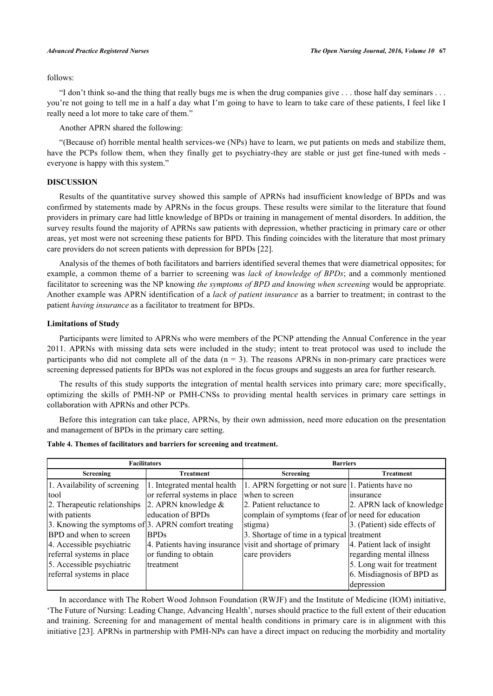# follows:

"I don't think so-and the thing that really bugs me is when the drug companies give . . . those half day seminars . . . you're not going to tell me in a half a day what I'm going to have to learn to take care of these patients, I feel like I really need a lot more to take care of them."

Another APRN shared the following:

"(Because of) horrible mental health services-we (NPs) have to learn, we put patients on meds and stabilize them, have the PCPs follow them, when they finally get to psychiatry-they are stable or just get fine-tuned with meds everyone is happy with this system."

# **DISCUSSION**

Results of the quantitative survey showed this sample of APRNs had insufficient knowledge of BPDs and was confirmed by statements made by APRNs in the focus groups. These results were similar to the literature that found providers in primary care had little knowledge of BPDs or training in management of mental disorders. In addition, the survey results found the majority of APRNs saw patients with depression, whether practicing in primary care or other areas, yet most were not screening these patients for BPD. This finding coincides with the literature that most primary care providers do not screen patients with depression for BPDs [\[22](#page-12-6)].

Analysis of the themes of both facilitators and barriers identified several themes that were diametrical opposites; for example, a common theme of a barrier to screening was *lack of knowledge of BPDs*; and a commonly mentioned facilitator to screening was the NP knowing *the symptoms of BPD and knowing when screening* would be appropriate. Another example was APRN identification of a *lack of patient insurance* as a barrier to treatment; in contrast to the patient *having insurance* as a facilitator to treatment for BPDs.

#### **Limitations of Study**

Participants were limited to APRNs who were members of the PCNP attending the Annual Conference in the year 2011. APRNs with missing data sets were included in the study; intent to treat protocol was used to include the participants who did not complete all of the data  $(n = 3)$ . The reasons APRNs in non-primary care practices were screening depressed patients for BPDs was not explored in the focus groups and suggests an area for further research.

The results of this study supports the integration of mental health services into primary care; more specifically, optimizing the skills of PMH-NP or PMH-CNSs to providing mental health services in primary care settings in collaboration with APRNs and other PCPs.

Before this integration can take place, APRNs, by their own admission, need more education on the presentation and management of BPDs in the primary care setting.

| <b>Facilitators</b>                                 |                              | <b>Barriers</b>                                            |                              |  |
|-----------------------------------------------------|------------------------------|------------------------------------------------------------|------------------------------|--|
| Screening                                           | <b>Treatment</b>             | Screening                                                  | <b>Treatment</b>             |  |
| 1. Availability of screening                        | 1. Integrated mental health  | 1. APRN forgetting or not sure 1. Patients have no         |                              |  |
| tool                                                | or referral systems in place | when to screen                                             | linsurance                   |  |
| 2. Therapeutic relationships                        | 2. APRN knowledge $\&$       | 2. Patient reluctance to                                   | 2. APRN lack of knowledge    |  |
| with patients                                       | education of BPDs            | complain of symptoms (fear of or need for education        |                              |  |
| 3. Knowing the symptoms of 3. APRN comfort treating |                              | stigma)                                                    | 3. (Patient) side effects of |  |
| BPD and when to screen                              | <b>BPDs</b>                  | 3. Shortage of time in a typical treatment                 |                              |  |
| 4. Accessible psychiatric                           |                              | 4. Patients having insurance visit and shortage of primary | 4. Patient lack of insight   |  |
| referral systems in place                           | or funding to obtain         | care providers                                             | regarding mental illness     |  |
| 5. Accessible psychiatric                           | <b>Itreatment</b>            |                                                            | 5. Long wait for treatment   |  |
| referral systems in place                           |                              |                                                            | 6. Misdiagnosis of BPD as    |  |
|                                                     |                              |                                                            | depression                   |  |

<span id="page-8-0"></span>**Table 4. Themes of facilitators and barriers for screening and treatment.**

In accordance with The Robert Wood Johnson Foundation (RWJF) and the Institute of Medicine (IOM) initiative, 'The Future of Nursing: Leading Change, Advancing Health', nurses should practice to the full extent of their education and training. Screening for and management of mental health conditions in primary care is in alignment with this initiative [[23\]](#page-12-7). APRNs in partnership with PMH-NPs can have a direct impact on reducing the morbidity and mortality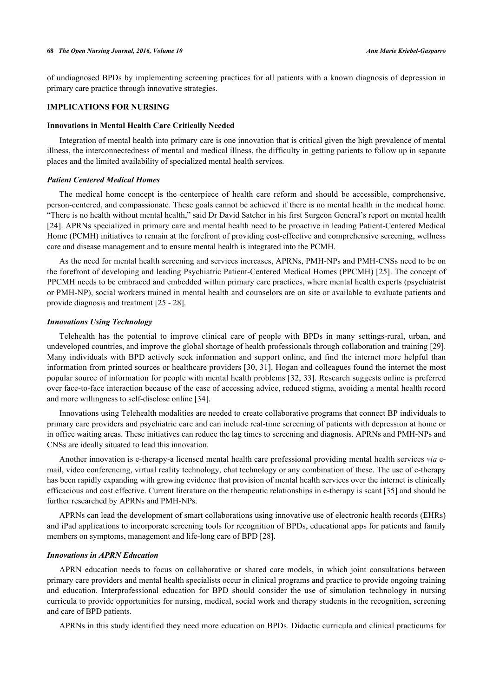of undiagnosed BPDs by implementing screening practices for all patients with a known diagnosis of depression in primary care practice through innovative strategies.

# **IMPLICATIONS FOR NURSING**

#### **Innovations in Mental Health Care Critically Needed**

Integration of mental health into primary care is one innovation that is critical given the high prevalence of mental illness, the interconnectedness of mental and medical illness, the difficulty in getting patients to follow up in separate places and the limited availability of specialized mental health services.

#### *Patient Centered Medical Homes*

The medical home concept is the centerpiece of health care reform and should be accessible, comprehensive, person-centered, and compassionate. These goals cannot be achieved if there is no mental health in the medical home. "There is no health without mental health," said Dr David Satcher in his first Surgeon General's report on mental health [\[24](#page-12-8)]. APRNs specialized in primary care and mental health need to be proactive in leading Patient-Centered Medical Home (PCMH) initiatives to remain at the forefront of providing cost-effective and comprehensive screening, wellness care and disease management and to ensure mental health is integrated into the PCMH.

As the need for mental health screening and services increases, APRNs, PMH-NPs and PMH-CNSs need to be on the forefront of developing and leading Psychiatric Patient-Centered Medical Homes (PPCMH) [[25\]](#page-12-9). The concept of PPCMH needs to be embraced and embedded within primary care practices, where mental health experts (psychiatrist or PMH-NP), social workers trained in mental health and counselors are on site or available to evaluate patients and provide diagnosis and treatment [[25](#page-12-9) - [28\]](#page-12-10).

### *Innovations Using Technology*

Telehealth has the potential to improve clinical care of people with BPDs in many settings-rural, urban, and undeveloped countries, and improve the global shortage of health professionals through collaboration and training [[29\]](#page-12-11). Many individuals with BPD actively seek information and support online, and find the internet more helpful than information from printed sources or healthcare providers [[30](#page-12-12), [31\]](#page-12-13). Hogan and colleagues found the internet the most popular source of information for people with mental health problems [[32](#page-12-14), [33\]](#page-12-15). Research suggests online is preferred over face-to-face interaction because of the ease of accessing advice, reduced stigma, avoiding a mental health record and more willingness to self-disclose online [\[34](#page-12-16)].

Innovations using Telehealth modalities are needed to create collaborative programs that connect BP individuals to primary care providers and psychiatric care and can include real-time screening of patients with depression at home or in office waiting areas. These initiatives can reduce the lag times to screening and diagnosis. APRNs and PMH-NPs and CNSs are ideally situated to lead this innovation.

Another innovation is e-therapy-a licensed mental health care professional providing mental health services *via* email, video conferencing, virtual reality technology, chat technology or any combination of these. The use of e-therapy has been rapidly expanding with growing evidence that provision of mental health services over the internet is clinically efficacious and cost effective. Current literature on the therapeutic relationships in e-therapy is scant [[35\]](#page-12-17) and should be further researched by APRNs and PMH-NPs.

APRNs can lead the development of smart collaborations using innovative use of electronic health records (EHRs) and iPad applications to incorporate screening tools for recognition of BPDs, educational apps for patients and family members on symptoms, management and life-long care of BPD [\[28](#page-12-10)].

# *Innovations in APRN Education*

APRN education needs to focus on collaborative or shared care models, in which joint consultations between primary care providers and mental health specialists occur in clinical programs and practice to provide ongoing training and education. Interprofessional education for BPD should consider the use of simulation technology in nursing curricula to provide opportunities for nursing, medical, social work and therapy students in the recognition, screening and care of BPD patients.

APRNs in this study identified they need more education on BPDs. Didactic curricula and clinical practicums for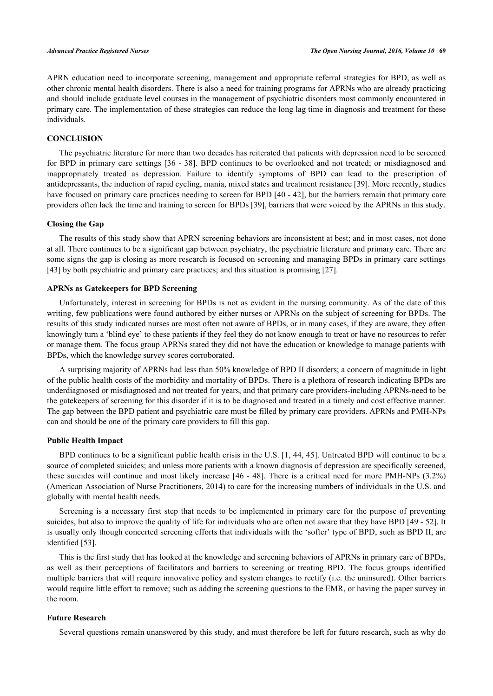APRN education need to incorporate screening, management and appropriate referral strategies for BPD, as well as other chronic mental health disorders. There is also a need for training programs for APRNs who are already practicing and should include graduate level courses in the management of psychiatric disorders most commonly encountered in primary care. The implementation of these strategies can reduce the long lag time in diagnosis and treatment for these individuals.

#### **CONCLUSION**

The psychiatric literature for more than two decades has reiterated that patients with depression need to be screened for BPD in primary care settings [[36](#page-12-18) - [38\]](#page-12-19). BPD continues to be overlooked and not treated; or misdiagnosed and inappropriately treated as depression. Failure to identify symptoms of BPD can lead to the prescription of antidepressants, the induction of rapid cycling, mania, mixed states and treatment resistance [[39\]](#page-12-20). More recently, studies have focused on primary care practices needing to screen for BPD [[40](#page-12-21) - [42\]](#page-13-0), but the barriers remain that primary care providers often lack the time and training to screen for BPDs [\[39](#page-12-20)], barriers that were voiced by the APRNs in this study.

# **Closing the Gap**

The results of this study show that APRN screening behaviors are inconsistent at best; and in most cases, not done at all. There continues to be a significant gap between psychiatry, the psychiatric literature and primary care. There are some signs the gap is closing as more research is focused on screening and managing BPDs in primary care settings [\[43](#page-13-1)] by both psychiatric and primary care practices; and this situation is promising [\[27](#page-12-22)].

# **APRNs as Gatekeepers for BPD Screening**

Unfortunately, interest in screening for BPDs is not as evident in the nursing community. As of the date of this writing, few publications were found authored by either nurses or APRNs on the subject of screening for BPDs. The results of this study indicated nurses are most often not aware of BPDs, or in many cases, if they are aware, they often knowingly turn a 'blind eye' to these patients if they feel they do not know enough to treat or have no resources to refer or manage them. The focus group APRNs stated they did not have the education or knowledge to manage patients with BPDs, which the knowledge survey scores corroborated.

A surprising majority of APRNs had less than 50% knowledge of BPD II disorders; a concern of magnitude in light of the public health costs of the morbidity and mortality of BPDs. There is a plethora of research indicating BPDs are underdiagnosed or misdiagnosed and not treated for years, and that primary care providers-including APRNs-need to be the gatekeepers of screening for this disorder if it is to be diagnosed and treated in a timely and cost effective manner. The gap between the BPD patient and psychiatric care must be filled by primary care providers. APRNs and PMH-NPs can and should be one of the primary care providers to fill this gap.

# **Public Health Impact**

BPD continues to be a significant public health crisis in the U.S. [[1](#page-11-0)[, 44](#page-13-2), [45\]](#page-13-3). Untreated BPD will continue to be a source of completed suicides; and unless more patients with a known diagnosis of depression are specifically screened, these suicides will continue and most likely increase [\[46](#page-13-4) - [48](#page-13-5)]. There is a critical need for more PMH-NPs (3.2%) (American Association of Nurse Practitioners, 2014) to care for the increasing numbers of individuals in the U.S. and globally with mental health needs.

Screening is a necessary first step that needs to be implemented in primary care for the purpose of preventing suicides, but also to improve the quality of life for individuals who are often not aware that they have BPD [[49](#page-13-6) - [52\]](#page-13-7). It is usually only though concerted screening efforts that individuals with the 'softer' type of BPD, such as BPD II, are identified [[53\]](#page-13-8).

This is the first study that has looked at the knowledge and screening behaviors of APRNs in primary care of BPDs, as well as their perceptions of facilitators and barriers to screening or treating BPD. The focus groups identified multiple barriers that will require innovative policy and system changes to rectify (i.e. the uninsured). Other barriers would require little effort to remove; such as adding the screening questions to the EMR, or having the paper survey in the room.

# **Future Research**

Several questions remain unanswered by this study, and must therefore be left for future research, such as why do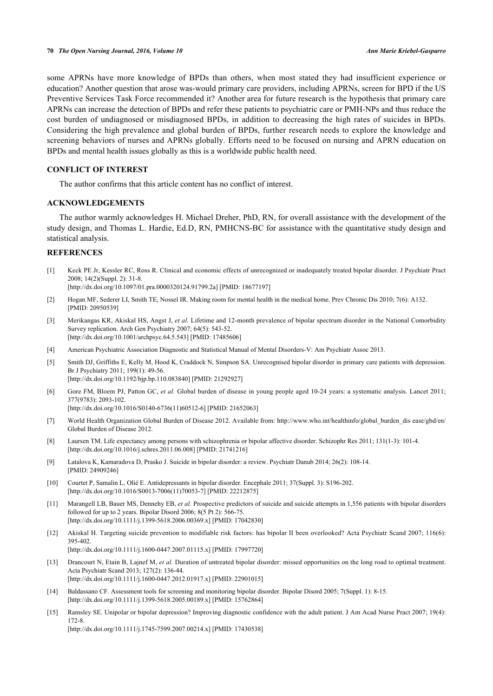some APRNs have more knowledge of BPDs than others, when most stated they had insufficient experience or education? Another question that arose was-would primary care providers, including APRNs, screen for BPD if the US Preventive Services Task Force recommended it? Another area for future research is the hypothesis that primary care APRNs can increase the detection of BPDs and refer these patients to psychiatric care or PMH-NPs and thus reduce the cost burden of undiagnosed or misdiagnosed BPDs, in addition to decreasing the high rates of suicides in BPDs. Considering the high prevalence and global burden of BPDs, further research needs to explore the knowledge and screening behaviors of nurses and APRNs globally. Efforts need to be focused on nursing and APRN education on BPDs and mental health issues globally as this is a worldwide public health need.

# **CONFLICT OF INTEREST**

The author confirms that this article content has no conflict of interest.

# **ACKNOWLEDGEMENTS**

The author warmly acknowledges H. Michael Dreher, PhD, RN, for overall assistance with the development of the study design, and Thomas L. Hardie, Ed.D, RN, PMHCNS-BC for assistance with the quantitative study design and statistical analysis.

# **REFERENCES**

<span id="page-11-0"></span>[1] Keck PE Jr, Kessler RC, Ross R. Clinical and economic effects of unrecognized or inadequately treated bipolar disorder. J Psychiatr Pract  $2008: 14(2)(\text{Sunpl} \cdot 2) \cdot 31-8$ 

[\[http://dx.doi.org/10.1097/01.pra.0000320124.91799.2a\]](http://dx.doi.org/10.1097/01.pra.0000320124.91799.2a) [PMID: [18677197](http://www.ncbi.nlm.nih.gov/pubmed/18677197)]

- <span id="page-11-1"></span>[2] Hogan MF, Sederer LI, Smith TE, Nossel IR. Making room for mental health in the medical home. Prev Chronic Dis 2010; 7(6): A132. [PMID: [20950539\]](http://www.ncbi.nlm.nih.gov/pubmed/20950539)
- <span id="page-11-2"></span>[3] Merikangas KR, Akiskal HS, Angst J, *et al.* Lifetime and 12-month prevalence of bipolar spectrum disorder in the National Comorbidity Survey replication. Arch Gen Psychiatry 2007; 64(5): 543-52. [\[http://dx.doi.org/10.1001/archpsyc.64.5.543](http://dx.doi.org/10.1001/archpsyc.64.5.543)] [PMID: [17485606\]](http://www.ncbi.nlm.nih.gov/pubmed/17485606)
- <span id="page-11-3"></span>[4] American Psychiatric Association Diagnostic and Statistical Manual of Mental Disorders-V: Am Psychiatr Assoc 2013.
- <span id="page-11-4"></span>[5] Smith DJ, Griffiths E, Kelly M, Hood K, Craddock N, Simpson SA. Unrecognised bipolar disorder in primary care patients with depression. Br J Psychiatry 2011; 199(1): 49-56. [\[http://dx.doi.org/10.1192/bjp.bp.110.083840](http://dx.doi.org/10.1192/bjp.bp.110.083840)] [PMID: [21292927\]](http://www.ncbi.nlm.nih.gov/pubmed/21292927)
- <span id="page-11-5"></span>[6] Gore FM, Bloem PJ, Patton GC, *et al.* Global burden of disease in young people aged 10-24 years: a systematic analysis. Lancet 2011; 377(9783): 2093-102.

[\[http://dx.doi.org/10.1016/S0140-6736\(11\)60512-6\]](http://dx.doi.org/10.1016/S0140-6736(11)60512-6) [PMID: [21652063](http://www.ncbi.nlm.nih.gov/pubmed/21652063)]

- <span id="page-11-6"></span>[7] World Health Organization Global Burden of Disease 2012. Available from: [http://www.who.int/healthinfo/global\\_burden\\_dis ease/gbd/en/](http://www.who.int/healthinfo/global_burden_dis%20ease/gbd/en/) Global Burden of Disease 2012.
- <span id="page-11-7"></span>[8] Laursen TM. Life expectancy among persons with schizophrenia or bipolar affective disorder. Schizophr Res 2011; 131(1-3): 101-4. [\[http://dx.doi.org/10.1016/j.schres.2011.06.008](http://dx.doi.org/10.1016/j.schres.2011.06.008)] [PMID: [21741216\]](http://www.ncbi.nlm.nih.gov/pubmed/21741216)
- <span id="page-11-8"></span>[9] Latalova K, Kamaradova D, Prasko J. Suicide in bipolar disorder: a review. Psychiatr Danub 2014; 26(2): 108-14. [PMID: [24909246\]](http://www.ncbi.nlm.nih.gov/pubmed/24909246)
- <span id="page-11-9"></span>[10] Courtet P, Samalin L, Olié E. Antidepressants in bipolar disorder. Encephale 2011; 37(Suppl. 3): S196-202. [\[http://dx.doi.org/10.1016/S0013-7006\(11\)70053-7\]](http://dx.doi.org/10.1016/S0013-7006(11)70053-7) [PMID: [22212875](http://www.ncbi.nlm.nih.gov/pubmed/22212875)]
- <span id="page-11-10"></span>[11] Marangell LB, Bauer MS, Dennehy EB, et al. Prospective predictors of suicide and suicide attempts in 1,556 patients with bipolar disorders followed for up to 2 years. Bipolar Disord 2006; 8(5 Pt 2): 566-75. [\[http://dx.doi.org/10.1111/j.1399-5618.2006.00369.x\]](http://dx.doi.org/10.1111/j.1399-5618.2006.00369.x) [PMID: [17042830](http://www.ncbi.nlm.nih.gov/pubmed/17042830)]
- <span id="page-11-11"></span>[12] Akiskal H. Targeting suicide prevention to modifiable risk factors: has bipolar II been overlooked? Acta Psychiatr Scand 2007; 116(6): 395-402. [\[http://dx.doi.org/10.1111/j.1600-0447.2007.01115.x\]](http://dx.doi.org/10.1111/j.1600-0447.2007.01115.x) [PMID: [17997720](http://www.ncbi.nlm.nih.gov/pubmed/17997720)]
- <span id="page-11-12"></span>[13] Drancourt N, Etain B, Lajnef M, *et al.* Duration of untreated bipolar disorder: missed opportunities on the long road to optimal treatment. Acta Psychiatr Scand 2013; 127(2): 136-44.

[\[http://dx.doi.org/10.1111/j.1600-0447.2012.01917.x\]](http://dx.doi.org/10.1111/j.1600-0447.2012.01917.x) [PMID: [22901015](http://www.ncbi.nlm.nih.gov/pubmed/22901015)]

- <span id="page-11-13"></span>[14] Baldassano CF. Assessment tools for screening and monitoring bipolar disorder. Bipolar Disord 2005; 7(Suppl. 1): 8-15. [\[http://dx.doi.org/10.1111/j.1399-5618.2005.00189.x\]](http://dx.doi.org/10.1111/j.1399-5618.2005.00189.x) [PMID: [15762864](http://www.ncbi.nlm.nih.gov/pubmed/15762864)]
- <span id="page-11-14"></span>[15] Ramsley SE. Unipolar or bipolar depression? Improving diagnostic confidence with the adult patient. J Am Acad Nurse Pract 2007; 19(4): 172-8.

[\[http://dx.doi.org/10.1111/j.1745-7599.2007.00214.x\]](http://dx.doi.org/10.1111/j.1745-7599.2007.00214.x) [PMID: [17430538](http://www.ncbi.nlm.nih.gov/pubmed/17430538)]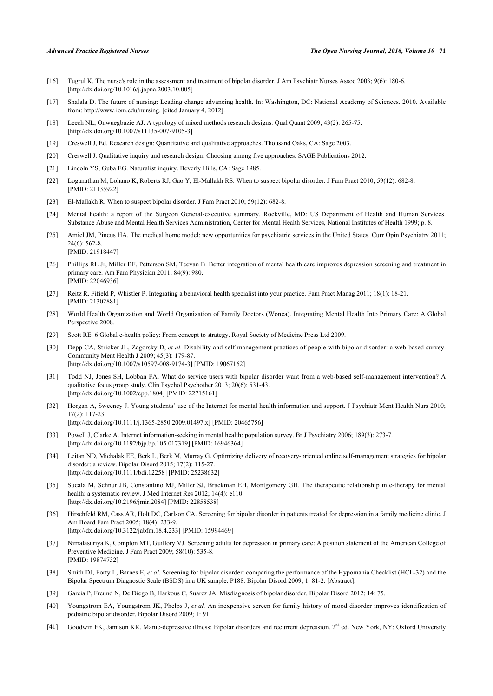- <span id="page-12-0"></span>[16] Tugrul K. The nurse's role in the assessment and treatment of bipolar disorder. J Am Psychiatr Nurses Assoc 2003; 9(6): 180-6. [\[http://dx.doi.org/10.1016/j.japna.2003.10.005](http://dx.doi.org/10.1016/j.japna.2003.10.005)]
- <span id="page-12-1"></span>[17] Shalala D. The future of nursing: Leading change advancing health. In: Washington, DC: National Academy of Sciences. 2010. Available from:<http://www.iom.edu/nursing>. [cited January 4, 2012].
- <span id="page-12-2"></span>[18] Leech NL, Onwuegbuzie AJ. A typology of mixed methods research designs. Qual Quant 2009; 43(2): 265-75. [\[http://dx.doi.org/10.1007/s11135-007-9105-3\]](http://dx.doi.org/10.1007/s11135-007-9105-3)
- <span id="page-12-3"></span>[19] Creswell J, Ed. Research design: Quantitative and qualitative approaches. Thousand Oaks, CA: Sage 2003.
- <span id="page-12-4"></span>[20] Creswell J. Qualitative inquiry and research design: Choosing among five approaches. SAGE Publications 2012.
- <span id="page-12-5"></span>[21] Lincoln YS, Guba EG. Naturalist inquiry. Beverly Hills, CA: Sage 1985.
- <span id="page-12-6"></span>[22] Loganathan M, Lohano K, Roberts RJ, Gao Y, El-Mallakh RS. When to suspect bipolar disorder. J Fam Pract 2010; 59(12): 682-8. [PMID: [21135922\]](http://www.ncbi.nlm.nih.gov/pubmed/21135922)
- <span id="page-12-7"></span>[23] El-Mallakh R. When to suspect bipolar disorder. J Fam Pract 2010; 59(12): 682-8.
- <span id="page-12-8"></span>[24] Mental health: a report of the Surgeon General-executive summary. Rockville, MD: US Department of Health and Human Services. Substance Abuse and Mental Health Services Administration, Center for Mental Health Services, National Institutes of Health 1999; p. 8.
- <span id="page-12-9"></span>[25] Amiel JM, Pincus HA. The medical home model: new opportunities for psychiatric services in the United States. Curr Opin Psychiatry 2011; 24(6): 562-8. [PMID: [21918447\]](http://www.ncbi.nlm.nih.gov/pubmed/21918447)
- [26] Phillips RL Jr, Miller BF, Petterson SM, Teevan B. Better integration of mental health care improves depression screening and treatment in primary care. Am Fam Physician 2011; 84(9): 980. [PMID: [22046936\]](http://www.ncbi.nlm.nih.gov/pubmed/22046936)
- <span id="page-12-22"></span>[27] Reitz R, Fifield P, Whistler P. Integrating a behavioral health specialist into your practice. Fam Pract Manag 2011; 18(1): 18-21. [PMID: [21302881\]](http://www.ncbi.nlm.nih.gov/pubmed/21302881)
- <span id="page-12-10"></span>[28] World Health Organization and World Organization of Family Doctors (Wonca). Integrating Mental Health Into Primary Care: A Global Perspective 2008.
- <span id="page-12-11"></span>[29] Scott RE. 6 Global e-health policy: From concept to strategy. Royal Society of Medicine Press Ltd 2009.
- <span id="page-12-12"></span>[30] Depp CA, Stricker JL, Zagorsky D, *et al.* Disability and self-management practices of people with bipolar disorder: a web-based survey. Community Ment Health J 2009; 45(3): 179-87. [\[http://dx.doi.org/10.1007/s10597-008-9174-3\]](http://dx.doi.org/10.1007/s10597-008-9174-3) [PMID: [19067162](http://www.ncbi.nlm.nih.gov/pubmed/19067162)]
- <span id="page-12-13"></span>[31] Todd NJ, Jones SH, Lobban FA. What do service users with bipolar disorder want from a web-based self-management intervention? A qualitative focus group study. Clin Psychol Psychother 2013; 20(6): 531-43. [\[http://dx.doi.org/10.1002/cpp.1804](http://dx.doi.org/10.1002/cpp.1804)] [PMID: [22715161\]](http://www.ncbi.nlm.nih.gov/pubmed/22715161)
- <span id="page-12-14"></span>[32] Horgan A, Sweeney J. Young students' use of the Internet for mental health information and support. J Psychiatr Ment Health Nurs 2010; 17(2): 117-23. [\[http://dx.doi.org/10.1111/j.1365-2850.2009.01497.x\]](http://dx.doi.org/10.1111/j.1365-2850.2009.01497.x) [PMID: [20465756](http://www.ncbi.nlm.nih.gov/pubmed/20465756)]
- <span id="page-12-15"></span>[33] Powell J, Clarke A. Internet information-seeking in mental health: population survey. Br J Psychiatry 2006; 189(3): 273-7. [\[http://dx.doi.org/10.1192/bjp.bp.105.017319](http://dx.doi.org/10.1192/bjp.bp.105.017319)] [PMID: [16946364\]](http://www.ncbi.nlm.nih.gov/pubmed/16946364)
- <span id="page-12-16"></span>[34] Leitan ND, Michalak EE, Berk L, Berk M, Murray G. Optimizing delivery of recovery-oriented online self-management strategies for bipolar disorder: a review. Bipolar Disord 2015; 17(2): 115-27. [\[http://dx.doi.org/10.1111/bdi.12258](http://dx.doi.org/10.1111/bdi.12258)] [PMID: [25238632\]](http://www.ncbi.nlm.nih.gov/pubmed/25238632)
- <span id="page-12-17"></span>[35] Sucala M, Schnur JB, Constantino MJ, Miller SJ, Brackman EH, Montgomery GH. The therapeutic relationship in e-therapy for mental health: a systematic review. J Med Internet Res 2012; 14(4): e110. [\[http://dx.doi.org/10.2196/jmir.2084](http://dx.doi.org/10.2196/jmir.2084)] [PMID: [22858538\]](http://www.ncbi.nlm.nih.gov/pubmed/22858538)
- <span id="page-12-18"></span>[36] Hirschfeld RM, Cass AR, Holt DC, Carlson CA. Screening for bipolar disorder in patients treated for depression in a family medicine clinic. J Am Board Fam Pract 2005; 18(4): 233-9. [\[http://dx.doi.org/10.3122/jabfm.18.4.233](http://dx.doi.org/10.3122/jabfm.18.4.233)] [PMID: [15994469](http://www.ncbi.nlm.nih.gov/pubmed/15994469)]
- [37] Nimalasuriya K, Compton MT, Guillory VJ. Screening adults for depression in primary care: A position statement of the American College of Preventive Medicine. J Fam Pract 2009; 58(10): 535-8. [PMID: [19874732\]](http://www.ncbi.nlm.nih.gov/pubmed/19874732)
- <span id="page-12-19"></span>[38] Smith DJ, Forty L, Barnes E, *et al.* Screening for bipolar disorder: comparing the performance of the Hypomania Checklist (HCL-32) and the Bipolar Spectrum Diagnostic Scale (BSDS) in a UK sample: P188. Bipolar Disord 2009; 1: 81-2. [Abstract].
- <span id="page-12-20"></span>[39] Garcia P, Freund N, De Diego B, Harkous C, Suarez JA. Misdiagnosis of bipolar disorder. Bipolar Disord 2012; 14: 75.
- <span id="page-12-21"></span>[40] Youngstrom EA, Youngstrom JK, Phelps J, *et al.* An inexpensive screen for family history of mood disorder improves identification of pediatric bipolar disorder. Bipolar Disord 2009; 1: 91.
- [41] Goodwin FK, Jamison KR. Manic-depressive illness: Bipolar disorders and recurrent depression. 2<sup>nd</sup> ed. New York, NY: Oxford University